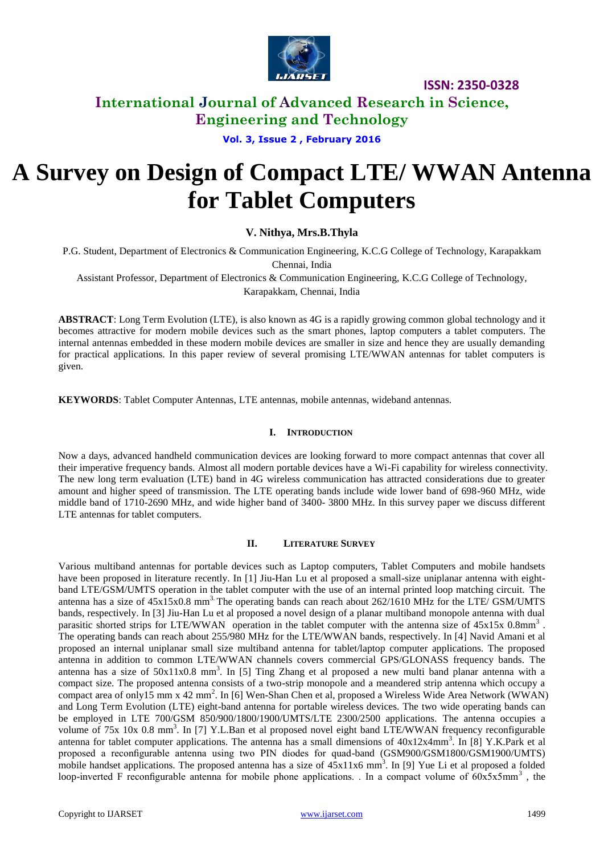

# **International Journal of Advanced Research in Science, Engineering and Technology**

### **Vol. 3, Issue 2 , February 2016**

# **A Survey on Design of Compact LTE/ WWAN Antenna for Tablet Computers**

**V. Nithya, Mrs.B.Thyla** 

P.G. Student, Department of Electronics & Communication Engineering, K.C.G College of Technology, Karapakkam Chennai, India

Assistant Professor, Department of Electronics & Communication Engineering, K.C.G College of Technology, Karapakkam, Chennai, India

**ABSTRACT**: Long Term Evolution (LTE), is also known as 4G is a rapidly growing common global technology and it becomes attractive for modern mobile devices such as the smart phones, laptop computers a tablet computers. The internal antennas embedded in these modern mobile devices are smaller in size and hence they are usually demanding for practical applications. In this paper review of several promising LTE/WWAN antennas for tablet computers is given.

**KEYWORDS**: Tablet Computer Antennas, LTE antennas, mobile antennas, wideband antennas.

#### **I. INTRODUCTION**

Now a days, advanced handheld communication devices are looking forward to more compact antennas that cover all their imperative frequency bands. Almost all modern portable devices have a Wi-Fi capability for wireless connectivity. The new long term evaluation (LTE) band in 4G wireless communication has attracted considerations due to greater amount and higher speed of transmission. The LTE operating bands include wide lower band of 698-960 MHz, wide middle band of 1710-2690 MHz, and wide higher band of 3400- 3800 MHz. In this survey paper we discuss different LTE antennas for tablet computers.

#### **II. LITERATURE SURVEY**

Various multiband antennas for portable devices such as Laptop computers, Tablet Computers and mobile handsets have been proposed in literature recently. In [1] Jiu-Han Lu et al proposed a small-size uniplanar antenna with eightband LTE/GSM/UMTS operation in the tablet computer with the use of an internal printed loop matching circuit. The antenna has a size of  $45x15x0.8$  mm<sup>3</sup>. The operating bands can reach about  $262/1610$  MHz for the LTE/ GSM/UMTS bands, respectively. In [3] Jiu-Han Lu et al proposed a novel design of a planar multiband monopole antenna with dual parasitic shorted strips for LTE/WWAN operation in the tablet computer with the antenna size of 45x15x 0.8mm<sup>3</sup>. The operating bands can reach about 255/980 MHz for the LTE/WWAN bands, respectively. In [4] Navid Amani et al proposed an internal uniplanar small size multiband antenna for tablet/laptop computer applications. The proposed antenna in addition to common LTE/WWAN channels covers commercial GPS/GLONASS frequency bands. The antenna has a size of  $50x11x0.8$  mm<sup>3</sup>. In [5] Ting Zhang et al proposed a new multi band planar antenna with a compact size. The proposed antenna consists of a two-strip monopole and a meandered strip antenna which occupy a compact area of only15 mm x 42 mm<sup>2</sup>. In [6] Wen-Shan Chen et al, proposed a Wireless Wide Area Network (WWAN) and Long Term Evolution (LTE) eight-band antenna for portable wireless devices. The two wide operating bands can be employed in LTE 700/GSM 850/900/1800/1900/UMTS/LTE 2300/2500 applications. The antenna occupies a volume of 75x 10x 0.8 mm<sup>3</sup>. In [7] Y.L.Ban et al proposed novel eight band LTE/WWAN frequency reconfigurable antenna for tablet computer applications. The antenna has a small dimensions of  $40x12x4mm^3$ . In [8] Y.K.Park et al proposed a reconfigurable antenna using two PIN diodes for quad-band (GSM900/GSM1800/GSM1900/UMTS) mobile handset applications. The proposed antenna has a size of  $45x11x6$  mm<sup>3</sup>. In [9] Yue Li et al proposed a folded loop-inverted F reconfigurable antenna for mobile phone applications. In a compact volume of  $60x5x5mm^3$ , the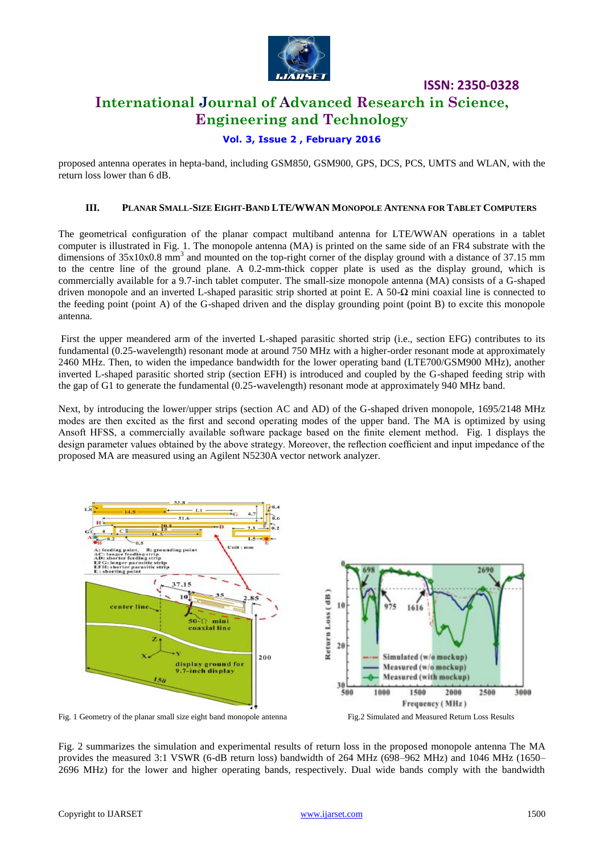

# **International Journal of Advanced Research in Science, Engineering and Technology**

### **Vol. 3, Issue 2 , February 2016**

proposed antenna operates in hepta-band, including GSM850, GSM900, GPS, DCS, PCS, UMTS and WLAN, with the return loss lower than 6 dB.

### **III. PLANAR SMALL-SIZE EIGHT-BAND LTE/WWAN MONOPOLE ANTENNA FOR TABLET COMPUTERS**

The geometrical configuration of the planar compact multiband antenna for LTE/WWAN operations in a tablet computer is illustrated in Fig. 1. The monopole antenna (MA) is printed on the same side of an FR4 substrate with the dimensions of  $35x10x0.8$  mm<sup>3</sup> and mounted on the top-right corner of the display ground with a distance of 37.15 mm to the centre line of the ground plane. A 0.2-mm-thick copper plate is used as the display ground, which is commercially available for a 9.7-inch tablet computer. The small-size monopole antenna (MA) consists of a G-shaped driven monopole and an inverted L-shaped parasitic strip shorted at point E. A 50- $\Omega$  mini coaxial line is connected to the feeding point (point A) of the G-shaped driven and the display grounding point (point B) to excite this monopole antenna.

First the upper meandered arm of the inverted L-shaped parasitic shorted strip (i.e., section EFG) contributes to its fundamental (0.25-wavelength) resonant mode at around 750 MHz with a higher-order resonant mode at approximately 2460 MHz. Then, to widen the impedance bandwidth for the lower operating band (LTE700/GSM900 MHz), another inverted L-shaped parasitic shorted strip (section EFH) is introduced and coupled by the G-shaped feeding strip with the gap of G1 to generate the fundamental (0.25-wavelength) resonant mode at approximately 940 MHz band.

Next, by introducing the lower/upper strips (section AC and AD) of the G-shaped driven monopole, 1695/2148 MHz modes are then excited as the first and second operating modes of the upper band. The MA is optimized by using Ansoft HFSS, a commercially available software package based on the finite element method. Fig. 1 displays the design parameter values obtained by the above strategy. Moreover, the reflection coefficient and input impedance of the proposed MA are measured using an Agilent N5230A vector network analyzer.



Fig. 2 summarizes the simulation and experimental results of return loss in the proposed monopole antenna The MA provides the measured 3:1 VSWR (6-dB return loss) bandwidth of 264 MHz (698–962 MHz) and 1046 MHz (1650– 2696 MHz) for the lower and higher operating bands, respectively. Dual wide bands comply with the bandwidth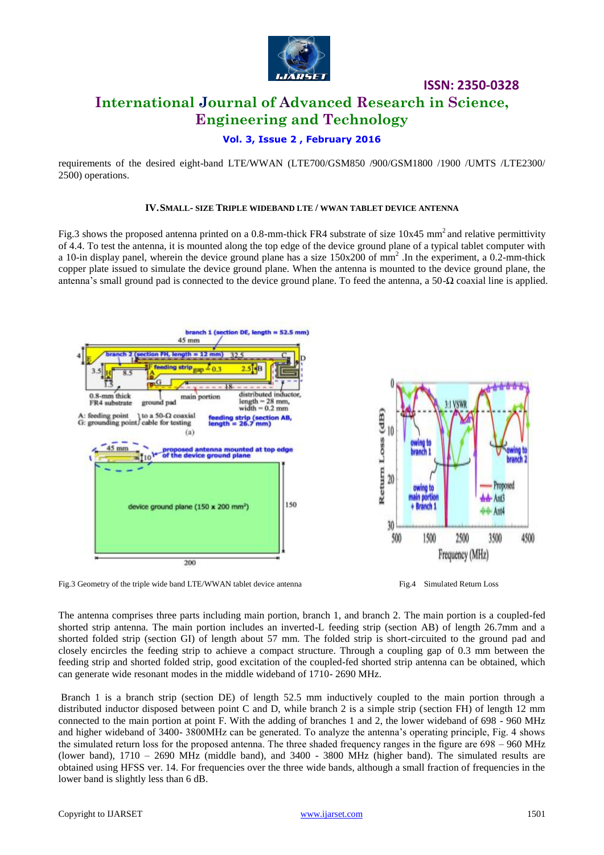

# **International Journal of Advanced Research in Science, Engineering and Technology**

### **Vol. 3, Issue 2 , February 2016**

requirements of the desired eight-band LTE/WWAN (LTE700/GSM850 /900/GSM1800 /1900 /UMTS /LTE2300/ 2500) operations.

### **IV.SMALL- SIZE TRIPLE WIDEBAND LTE / WWAN TABLET DEVICE ANTENNA**

Fig.3 shows the proposed antenna printed on a 0.8-mm-thick FR4 substrate of size 10x45 mm<sup>2</sup> and relative permittivity of 4.4. To test the antenna, it is mounted along the top edge of the device ground plane of a typical tablet computer with a 10-in display panel, wherein the device ground plane has a size  $150x200$  of mm<sup>2</sup>. In the experiment, a 0.2-mm-thick copper plate issued to simulate the device ground plane. When the antenna is mounted to the device ground plane, the antenna's small ground pad is connected to the device ground plane. To feed the antenna, a 50- $\Omega$  coaxial line is applied.



Fig.3 Geometry of the triple wide band LTE/WWAN tablet device antenna Fig.4 Simulated Return Loss

The antenna comprises three parts including main portion, branch 1, and branch 2. The main portion is a coupled-fed shorted strip antenna. The main portion includes an inverted-L feeding strip (section AB) of length 26.7mm and a shorted folded strip (section GI) of length about 57 mm. The folded strip is short-circuited to the ground pad and closely encircles the feeding strip to achieve a compact structure. Through a coupling gap of 0.3 mm between the feeding strip and shorted folded strip, good excitation of the coupled-fed shorted strip antenna can be obtained, which can generate wide resonant modes in the middle wideband of 1710- 2690 MHz.

Branch 1 is a branch strip (section DE) of length 52.5 mm inductively coupled to the main portion through a distributed inductor disposed between point C and D, while branch 2 is a simple strip (section FH) of length 12 mm connected to the main portion at point F. With the adding of branches 1 and 2, the lower wideband of 698 - 960 MHz and higher wideband of 3400- 3800MHz can be generated. To analyze the antenna's operating principle, Fig. 4 shows the simulated return loss for the proposed antenna. The three shaded frequency ranges in the figure are 698 – 960 MHz (lower band), 1710 – 2690 MHz (middle band), and 3400 - 3800 MHz (higher band). The simulated results are obtained using HFSS ver. 14. For frequencies over the three wide bands, although a small fraction of frequencies in the lower band is slightly less than 6 dB.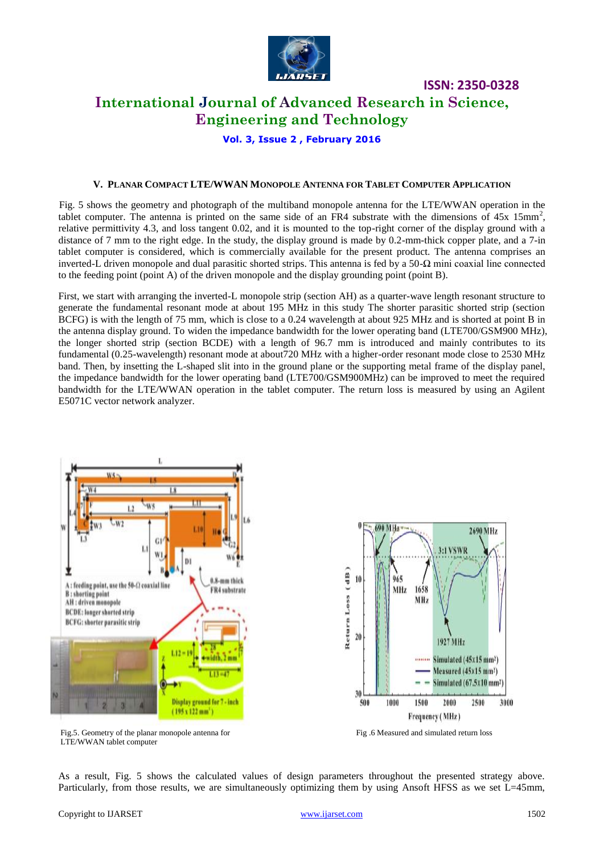

# **International Journal of Advanced Research in Science, Engineering and Technology**

**Vol. 3, Issue 2 , February 2016**

#### **V. PLANAR COMPACT LTE/WWAN MONOPOLE ANTENNA FOR TABLET COMPUTER APPLICATION**

 Fig. 5 shows the geometry and photograph of the multiband monopole antenna for the LTE/WWAN operation in the tablet computer. The antenna is printed on the same side of an FR4 substrate with the dimensions of  $45x \ 15mm^2$ , relative permittivity 4.3, and loss tangent 0.02, and it is mounted to the top-right corner of the display ground with a distance of 7 mm to the right edge. In the study, the display ground is made by 0.2-mm-thick copper plate, and a 7-in tablet computer is considered, which is commercially available for the present product. The antenna comprises an inverted-L driven monopole and dual parasitic shorted strips. This antenna is fed by a 50-Ω mini coaxial line connected to the feeding point (point A) of the driven monopole and the display grounding point (point B).

First, we start with arranging the inverted-L monopole strip (section AH) as a quarter-wave length resonant structure to generate the fundamental resonant mode at about 195 MHz in this study The shorter parasitic shorted strip (section BCFG) is with the length of 75 mm, which is close to a 0.24 wavelength at about 925 MHz and is shorted at point B in the antenna display ground. To widen the impedance bandwidth for the lower operating band (LTE700/GSM900 MHz), the longer shorted strip (section BCDE) with a length of 96.7 mm is introduced and mainly contributes to its fundamental (0.25-wavelength) resonant mode at about720 MHz with a higher-order resonant mode close to 2530 MHz band. Then, by insetting the L-shaped slit into in the ground plane or the supporting metal frame of the display panel, the impedance bandwidth for the lower operating band (LTE700/GSM900MHz) can be improved to meet the required bandwidth for the LTE/WWAN operation in the tablet computer. The return loss is measured by using an Agilent E5071C vector network analyzer.





Fig.5. Geometry of the planar monopole antenna for Fig.5. Geometry of the planar monopole antenna for Fig.5. Geometry of the planar monopole antenna for

As a result, Fig. 5 shows the calculated values of design parameters throughout the presented strategy above. Particularly, from those results, we are simultaneously optimizing them by using Ansoft HFSS as we set L=45mm,

LTE/WWAN tablet computer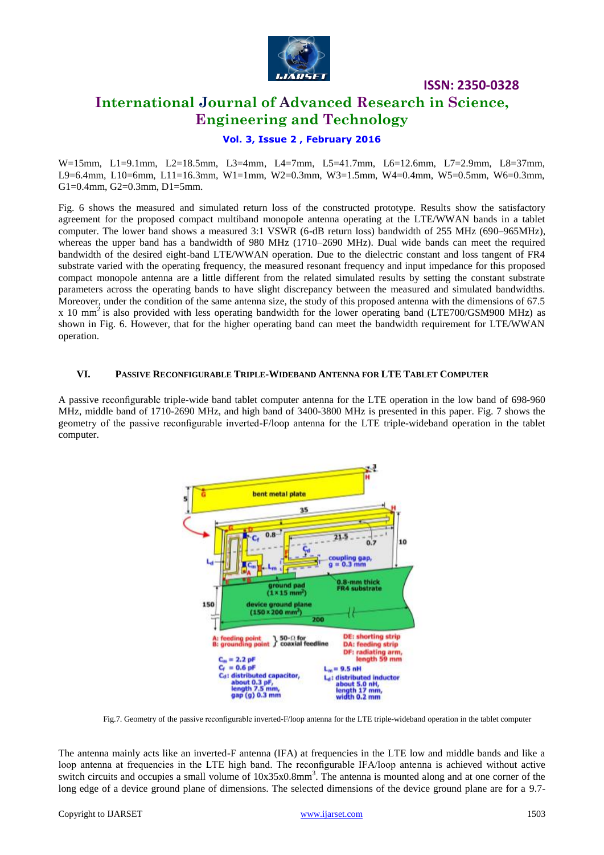

# **International Journal of Advanced Research in Science, Engineering and Technology**

### **Vol. 3, Issue 2 , February 2016**

W=15mm, L1=9.1mm, L2=18.5mm, L3=4mm, L4=7mm, L5=41.7mm, L6=12.6mm, L7=2.9mm, L8=37mm, L9=6.4mm, L10=6mm, L11=16.3mm, W1=1mm, W2=0.3mm, W3=1.5mm, W4=0.4mm, W5=0.5mm, W6=0.3mm, G1=0.4mm, G2=0.3mm, D1=5mm.

Fig. 6 shows the measured and simulated return loss of the constructed prototype. Results show the satisfactory agreement for the proposed compact multiband monopole antenna operating at the LTE/WWAN bands in a tablet computer. The lower band shows a measured 3:1 VSWR (6-dB return loss) bandwidth of 255 MHz (690–965MHz), whereas the upper band has a bandwidth of 980 MHz (1710–2690 MHz). Dual wide bands can meet the required bandwidth of the desired eight-band LTE/WWAN operation. Due to the dielectric constant and loss tangent of FR4 substrate varied with the operating frequency, the measured resonant frequency and input impedance for this proposed compact monopole antenna are a little different from the related simulated results by setting the constant substrate parameters across the operating bands to have slight discrepancy between the measured and simulated bandwidths. Moreover, under the condition of the same antenna size, the study of this proposed antenna with the dimensions of 67.5 x 10 mm<sup>2</sup> is also provided with less operating bandwidth for the lower operating band (LTE700/GSM900 MHz) as shown in Fig. 6. However, that for the higher operating band can meet the bandwidth requirement for LTE/WWAN operation.

#### **VI. PASSIVE RECONFIGURABLE TRIPLE-WIDEBAND ANTENNA FOR LTE TABLET COMPUTER**

A passive reconfigurable triple-wide band tablet computer antenna for the LTE operation in the low band of 698-960 MHz, middle band of 1710-2690 MHz, and high band of 3400-3800 MHz is presented in this paper. Fig. 7 shows the geometry of the passive reconfigurable inverted-F/loop antenna for the LTE triple-wideband operation in the tablet computer.



Fig.7. Geometry of the passive reconfigurable inverted-F/loop antenna for the LTE triple-wideband operation in the tablet computer

The antenna mainly acts like an inverted-F antenna (IFA) at frequencies in the LTE low and middle bands and like a loop antenna at frequencies in the LTE high band. The reconfigurable IFA/loop antenna is achieved without active switch circuits and occupies a small volume of  $10x35x0.8mm<sup>3</sup>$ . The antenna is mounted along and at one corner of the long edge of a device ground plane of dimensions. The selected dimensions of the device ground plane are for a 9.7-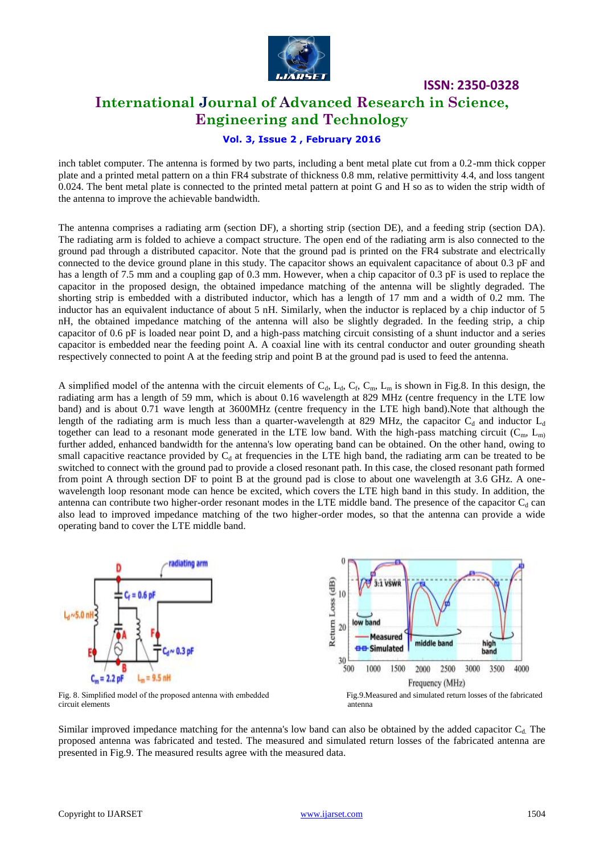

# **International Journal of Advanced Research in Science, Engineering and Technology**

### **Vol. 3, Issue 2 , February 2016**

inch tablet computer. The antenna is formed by two parts, including a bent metal plate cut from a 0.2-mm thick copper plate and a printed metal pattern on a thin FR4 substrate of thickness 0.8 mm, relative permittivity 4.4, and loss tangent 0.024. The bent metal plate is connected to the printed metal pattern at point G and H so as to widen the strip width of the antenna to improve the achievable bandwidth.

The antenna comprises a radiating arm (section DF), a shorting strip (section DE), and a feeding strip (section DA). The radiating arm is folded to achieve a compact structure. The open end of the radiating arm is also connected to the ground pad through a distributed capacitor. Note that the ground pad is printed on the FR4 substrate and electrically connected to the device ground plane in this study. The capacitor shows an equivalent capacitance of about 0.3 pF and has a length of 7.5 mm and a coupling gap of 0.3 mm. However, when a chip capacitor of 0.3 pF is used to replace the capacitor in the proposed design, the obtained impedance matching of the antenna will be slightly degraded. The shorting strip is embedded with a distributed inductor, which has a length of 17 mm and a width of 0.2 mm. The inductor has an equivalent inductance of about 5 nH. Similarly, when the inductor is replaced by a chip inductor of 5 nH, the obtained impedance matching of the antenna will also be slightly degraded. In the feeding strip, a chip capacitor of 0.6 pF is loaded near point D, and a high-pass matching circuit consisting of a shunt inductor and a series capacitor is embedded near the feeding point A. A coaxial line with its central conductor and outer grounding sheath respectively connected to point A at the feeding strip and point B at the ground pad is used to feed the antenna.

A simplified model of the antenna with the circuit elements of  $C_d$ ,  $L_d$ ,  $C_f$ ,  $C_m$ ,  $L_m$  is shown in Fig.8. In this design, the radiating arm has a length of 59 mm, which is about 0.16 wavelength at 829 MHz (centre frequency in the LTE low band) and is about 0.71 wave length at 3600MHz (centre frequency in the LTE high band).Note that although the length of the radiating arm is much less than a quarter-wavelength at 829 MHz, the capacitor  $C_d$  and inductor  $L_d$ together can lead to a resonant mode generated in the LTE low band. With the high-pass matching circuit ( $C_m$ ,  $L_m$ ) further added, enhanced bandwidth for the antenna's low operating band can be obtained. On the other hand, owing to small capacitive reactance provided by  $C_d$  at frequencies in the LTE high band, the radiating arm can be treated to be switched to connect with the ground pad to provide a closed resonant path. In this case, the closed resonant path formed from point A through section DF to point B at the ground pad is close to about one wavelength at 3.6 GHz. A onewavelength loop resonant mode can hence be excited, which covers the LTE high band in this study. In addition, the antenna can contribute two higher-order resonant modes in the LTE middle band. The presence of the capacitor  $C_d$  can also lead to improved impedance matching of the two higher-order modes, so that the antenna can provide a wide operating band to cover the LTE middle band.



circuit elements antenna

**ISSN: 2350-0328**

Similar improved impedance matching for the antenna's low band can also be obtained by the added capacitor  $C_d$ . The proposed antenna was fabricated and tested. The measured and simulated return losses of the fabricated antenna are presented in Fig.9. The measured results agree with the measured data.